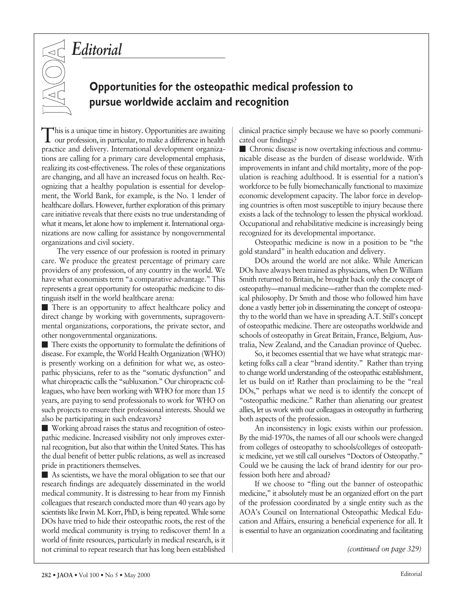## *Editorial*



## **Opportunities for the osteopathic medical profession to pursue worldwide acclaim and recognition**

This is a unique time in history. Opportunities are awaiting our profession, in particular, to make a difference in health practice and delivery. International development organizations are calling for a primary care developmental emphasis, realizing its cost-effectiveness. The roles of these organizations are changing, and all have an increased focus on health. Recognizing that a healthy population is essential for development, the World Bank, for example, is the No. 1 lender of healthcare dollars. However, further exploration of this primary care initiative reveals that there exists no true understanding of what it means, let alone how to implement it. International organizations are now calling for assistance by nongovernmental organizations and civil society.

The very essence of our profession is rooted in primary care. We produce the greatest percentage of primary care providers of any profession, of any country in the world. We have what economists term "a comparative advantage." This represents a great opportunity for osteopathic medicine to distinguish itself in the world healthcare arena:

 There is an opportunity to affect healthcare policy and direct change by working with governments, supragovernmental organizations, corporations, the private sector, and other nongovernmental organizations.

 There exists the opportunity to formulate the definitions of disease. For example, the World Health Organization (WHO) is presently working on a definition for what we, as osteopathic physicians, refer to as the "somatic dysfunction" and what chiropractic calls the "subluxation." Our chiropractic colleagues, who have been working with WHO for more than 15 years, are paying to send professionals to work for WHO on such projects to ensure their professional interests. Should we also be participating in such endeavors?

 Working abroad raises the status and recognition of osteopathic medicine. Increased visibility not only improves external recognition, but also that within the United States. This has the dual benefit of better public relations, as well as increased pride in practitioners themselves.

 As scientists, we have the moral obligation to see that our research findings are adequately disseminated in the world medical community. It is distressing to hear from my Finnish colleagues that research conducted more than 40 years ago by scientists like Irwin M. Korr, PhD, is being repeated. While some DOs have tried to hide their osteopathic roots, the rest of the world medical community is trying to rediscover them! In a world of finite resources, particularly in medical research, is it not criminal to repeat research that has long been established clinical practice simply because we have so poorly communicated our findings?

 Chronic disease is now overtaking infectious and communicable disease as the burden of disease worldwide. With improvements in infant and child mortality, more of the population is reaching adulthood. It is essential for a nation's workforce to be fully biomechanically functional to maximize economic development capacity. The labor force in developing countries is often most susceptible to injury because there exists a lack of the technology to lessen the physical workload. Occupational and rehabilitative medicine is increasingly being recognized for its developmental importance.

Osteopathic medicine is now in a position to be "the gold standard" in health education and delivery.

DOs around the world are not alike. While American DOs have always been trained as physicians, when Dr William Smith returned to Britain, he brought back only the concept of osteopathy—manual medicine—rather than the complete medical philosophy. Dr Smith and those who followed him have done a vastly better job in disseminating the concept of osteopathy to the world than we have in spreading A.T. Still's concept of osteopathic medicine. There are osteopaths worldwide and schools of osteopathy in Great Britain, France, Belgium, Australia, New Zealand, and the Canadian province of Quebec.

So, it becomes essential that we have what strategic marketing folks call a clear "brand identity." Rather than trying to change world understanding of the osteopathic establishment, let us build on it! Rather than proclaiming to be the "real DOs," perhaps what we need is to identify the concept of "osteopathic medicine." Rather than alienating our greatest allies, let us work with our colleagues in osteopathy in furthering both aspects of the profession.

An inconsistency in logic exists within our profession. By the mid-1970s, the names of all our schools were changed from colleges of osteopathy to schools/colleges of osteopathic medicine, yet we still call ourselves "Doctors of Osteopathy." Could we be causing the lack of brand identity for our profession both here and abroad?

If we choose to "fling out the banner of osteopathic medicine," it absolutely must be an organized effort on the part of the profession coordinated by a single entity such as the AOA's Council on International Osteopathic Medical Education and Affairs, ensuring a beneficial experience for all. It is essential to have an organization coordinating and facilitating

*(continued on page 329)*